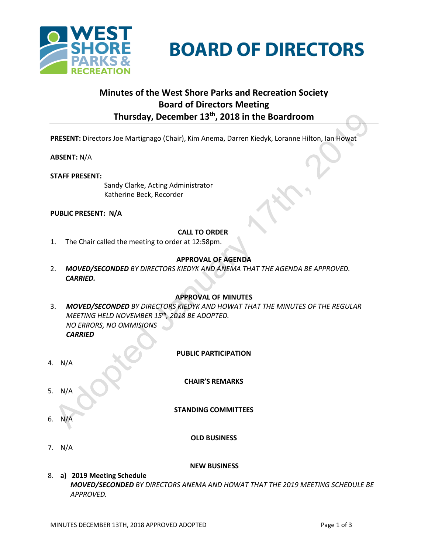

# **BOARD OF DIRECTORS**

# **Minutes of the West Shore Parks and Recreation Society Board of Directors Meeting Thursday, December 13th , 2018 in the Boardroom**

**PRESENT:** Directors Joe Martignago (Chair), Kim Anema, Darren Kiedyk, Loranne Hilton, Ian Howat

**ABSENT:** N/A

**STAFF PRESENT:**

Sandy Clarke, Acting Administrator Katherine Beck, Recorder

**PUBLIC PRESENT: N/A**

# **CALL TO ORDER**

1. The Chair called the meeting to order at 12:58pm.

# **APPROVAL OF AGENDA**

2. *MOVED/SECONDED BY DIRECTORS KIEDYK AND ANEMA THAT THE AGENDA BE APPROVED. CARRIED.*

#### **APPROVAL OF MINUTES**

- 3. *MOVED/SECONDED BY DIRECTORS KIEDYK AND HOWAT THAT THE MINUTES OF THE REGULAR MEETING HELD NOVEMBER 15th , 2018 BE ADOPTED. NO ERRORS, NO OMMISIONS CARRIED*
- **PUBLIC PARTICIPATION** 4. N/A **CHAIR'S REMARKS** 5. N/A **STANDING COMMITTEES**  $6<sup>1</sup>$ 
	- **OLD BUSINESS**

7. N/A

#### **NEW BUSINESS**

8. **a) 2019 Meeting Schedule**  *MOVED/SECONDED BY DIRECTORS ANEMA AND HOWAT THAT THE 2019 MEETING SCHEDULE BE APPROVED.*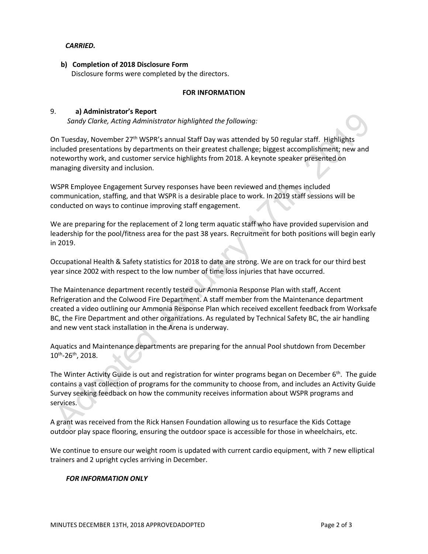#### *CARRIED.*

 **b) Completion of 2018 Disclosure Form** Disclosure forms were completed by the directors.

#### **FOR INFORMATION**

### 9. **a) Administrator's Report**

*Sandy Clarke, Acting Administrator highlighted the following:*

On Tuesday, November 27th WSPR's annual Staff Day was attended by 50 regular staff. Highlights included presentations by departments on their greatest challenge; biggest accomplishment; new and noteworthy work, and customer service highlights from 2018. A keynote speaker presented on managing diversity and inclusion.

WSPR Employee Engagement Survey responses have been reviewed and themes included communication, staffing, and that WSPR is a desirable place to work. In 2019 staff sessions will be conducted on ways to continue improving staff engagement.

We are preparing for the replacement of 2 long term aquatic staff who have provided supervision and leadership for the pool/fitness area for the past 38 years. Recruitment for both positions will begin early in 2019.

Occupational Health & Safety statistics for 2018 to date are strong. We are on track for our third best year since 2002 with respect to the low number of time loss injuries that have occurred.

The Maintenance department recently tested our Ammonia Response Plan with staff, Accent Refrigeration and the Colwood Fire Department. A staff member from the Maintenance department created a video outlining our Ammonia Response Plan which received excellent feedback from Worksafe BC, the Fire Department and other organizations. As regulated by Technical Safety BC, the air handling and new vent stack installation in the Arena is underway.

Aquatics and Maintenance departments are preparing for the annual Pool shutdown from December 10th -26th, 2018.

The Winter Activity Guide is out and registration for winter programs began on December 6<sup>th</sup>. The guide contains a vast collection of programs for the community to choose from, and includes an Activity Guide Survey seeking feedback on how the community receives information about WSPR programs and services.

A grant was received from the Rick Hansen Foundation allowing us to resurface the Kids Cottage outdoor play space flooring, ensuring the outdoor space is accessible for those in wheelchairs, etc.

We continue to ensure our weight room is updated with current cardio equipment, with 7 new elliptical trainers and 2 upright cycles arriving in December.

#### *FOR INFORMATION ONLY*